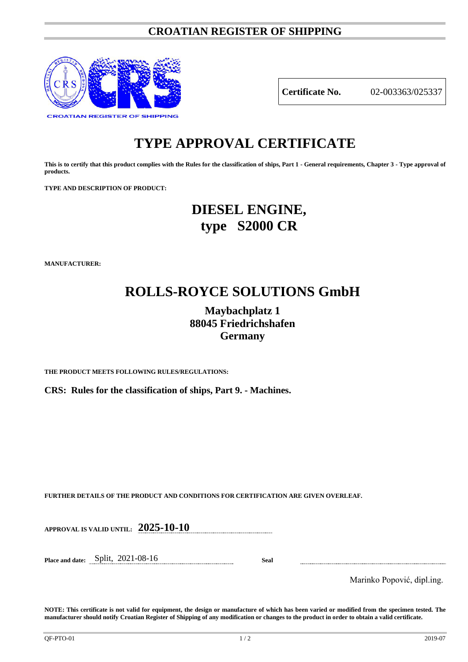### **CROATIAN REGISTER OF SHIPPING**



**Certificate No.** 02-003363/025337

# **TYPE APPROVAL CERTIFICATE**

**This is to certify that this product complies with the Rules for the classification of ships, Part 1 - General requirements, Chapter 3 - Type approval of products.**

**TYPE AND DESCRIPTION OF PRODUCT:** 

## **DIESEL ENGINE, type S2000 CR**

**MANUFACTURER:**

# **ROLLS-ROYCE SOLUTIONS GmbH**

## **Maybachplatz 1 88045 Friedrichshafen Germany**

**THE PRODUCT MEETS FOLLOWING RULES/REGULATIONS:**

**CRS: Rules for the classification of ships, Part 9. - Machines.**

**FURTHER DETAILS OF THE PRODUCT AND CONDITIONS FOR CERTIFICATION ARE GIVEN OVERLEAF.**

**APPROVAL IS VALID UNTIL: 2025-10-10**

**Place and date:** Split, 2021-08-16 **Seal**

Marinko Popović, dipl.ing.

**NOTE: This certificate is not valid for equipment, the design or manufacture of which has been varied or modified from the specimen tested. The manufacturer should notify Croatian Register of Shipping of any modification or changes to the product in order to obtain a valid certificate.**